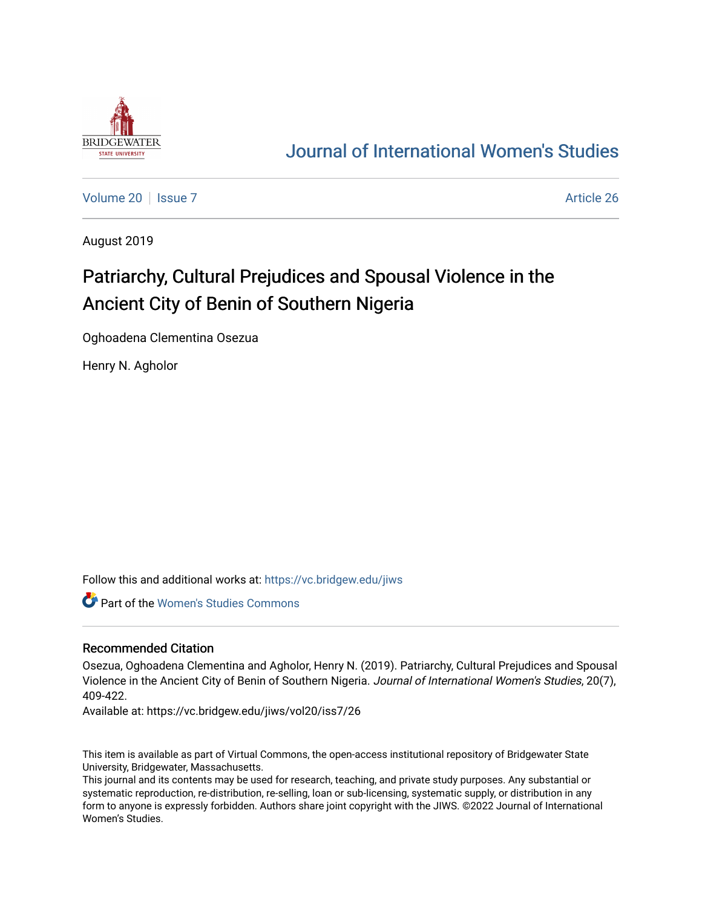

## [Journal of International Women's Studies](https://vc.bridgew.edu/jiws)

[Volume 20](https://vc.bridgew.edu/jiws/vol20) | [Issue 7](https://vc.bridgew.edu/jiws/vol20/iss7) Article 26

August 2019

# Patriarchy, Cultural Prejudices and Spousal Violence in the Ancient City of Benin of Southern Nigeria

Oghoadena Clementina Osezua

Henry N. Agholor

Follow this and additional works at: [https://vc.bridgew.edu/jiws](https://vc.bridgew.edu/jiws?utm_source=vc.bridgew.edu%2Fjiws%2Fvol20%2Fiss7%2F26&utm_medium=PDF&utm_campaign=PDFCoverPages)

Part of the [Women's Studies Commons](http://network.bepress.com/hgg/discipline/561?utm_source=vc.bridgew.edu%2Fjiws%2Fvol20%2Fiss7%2F26&utm_medium=PDF&utm_campaign=PDFCoverPages) 

#### Recommended Citation

Osezua, Oghoadena Clementina and Agholor, Henry N. (2019). Patriarchy, Cultural Prejudices and Spousal Violence in the Ancient City of Benin of Southern Nigeria. Journal of International Women's Studies, 20(7), 409-422.

Available at: https://vc.bridgew.edu/jiws/vol20/iss7/26

This item is available as part of Virtual Commons, the open-access institutional repository of Bridgewater State University, Bridgewater, Massachusetts.

This journal and its contents may be used for research, teaching, and private study purposes. Any substantial or systematic reproduction, re-distribution, re-selling, loan or sub-licensing, systematic supply, or distribution in any form to anyone is expressly forbidden. Authors share joint copyright with the JIWS. ©2022 Journal of International Women's Studies.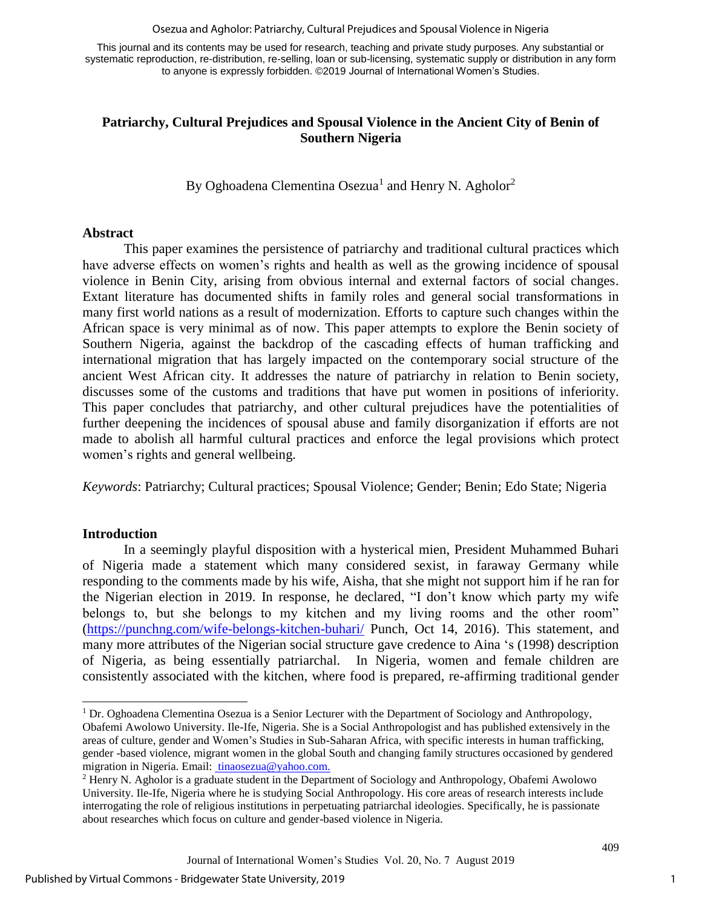Osezua and Agholor: Patriarchy, Cultural Prejudices and Spousal Violence in Nigeria

This journal and its contents may be used for research, teaching and private study purposes. Any substantial or systematic reproduction, re-distribution, re-selling, loan or sub-licensing, systematic supply or distribution in any form to anyone is expressly forbidden. ©2019 Journal of International Women's Studies.

## **Patriarchy, Cultural Prejudices and Spousal Violence in the Ancient City of Benin of Southern Nigeria**

By Oghoadena Clementina Osezua<sup>1</sup> and Henry N. Agholor<sup>2</sup>

#### **Abstract**

This paper examines the persistence of patriarchy and traditional cultural practices which have adverse effects on women's rights and health as well as the growing incidence of spousal violence in Benin City, arising from obvious internal and external factors of social changes. Extant literature has documented shifts in family roles and general social transformations in many first world nations as a result of modernization. Efforts to capture such changes within the African space is very minimal as of now. This paper attempts to explore the Benin society of Southern Nigeria, against the backdrop of the cascading effects of human trafficking and international migration that has largely impacted on the contemporary social structure of the ancient West African city. It addresses the nature of patriarchy in relation to Benin society, discusses some of the customs and traditions that have put women in positions of inferiority. This paper concludes that patriarchy, and other cultural prejudices have the potentialities of further deepening the incidences of spousal abuse and family disorganization if efforts are not made to abolish all harmful cultural practices and enforce the legal provisions which protect women's rights and general wellbeing.

*Keywords*: Patriarchy; Cultural practices; Spousal Violence; Gender; Benin; Edo State; Nigeria

### **Introduction**

l

In a seemingly playful disposition with a hysterical mien, President Muhammed Buhari of Nigeria made a statement which many considered sexist, in faraway Germany while responding to the comments made by his wife, Aisha, that she might not support him if he ran for the Nigerian election in 2019. In response, he declared, "I don't know which party my wife belongs to, but she belongs to my kitchen and my living rooms and the other room" [\(https://punchng.com/wife-belongs-kitchen-buhari/](https://punchng.com/wife-belongs-kitchen-buhari/) Punch, Oct 14, 2016). This statement, and many more attributes of the Nigerian social structure gave credence to Aina 's (1998) description of Nigeria, as being essentially patriarchal. In Nigeria, women and female children are consistently associated with the kitchen, where food is prepared, re-affirming traditional gender

 $1$  Dr. Oghoadena Clementina Osezua is a Senior Lecturer with the Department of Sociology and Anthropology, Obafemi Awolowo University. Ile-Ife, Nigeria. She is a Social Anthropologist and has published extensively in the areas of culture, gender and Women's Studies in Sub-Saharan Africa, with specific interests in human trafficking, gender -based violence, migrant women in the global South and changing family structures occasioned by gendered migration in Nigeria. Email: [tinaosezua@yahoo.com.](mailto:tinaosezua@yahoo.com)

<sup>2</sup> Henry N. Agholor is a graduate student in the Department of Sociology and Anthropology, Obafemi Awolowo University. Ile-Ife, Nigeria where he is studying Social Anthropology. His core areas of research interests include interrogating the role of religious institutions in perpetuating patriarchal ideologies. Specifically, he is passionate about researches which focus on culture and gender-based violence in Nigeria.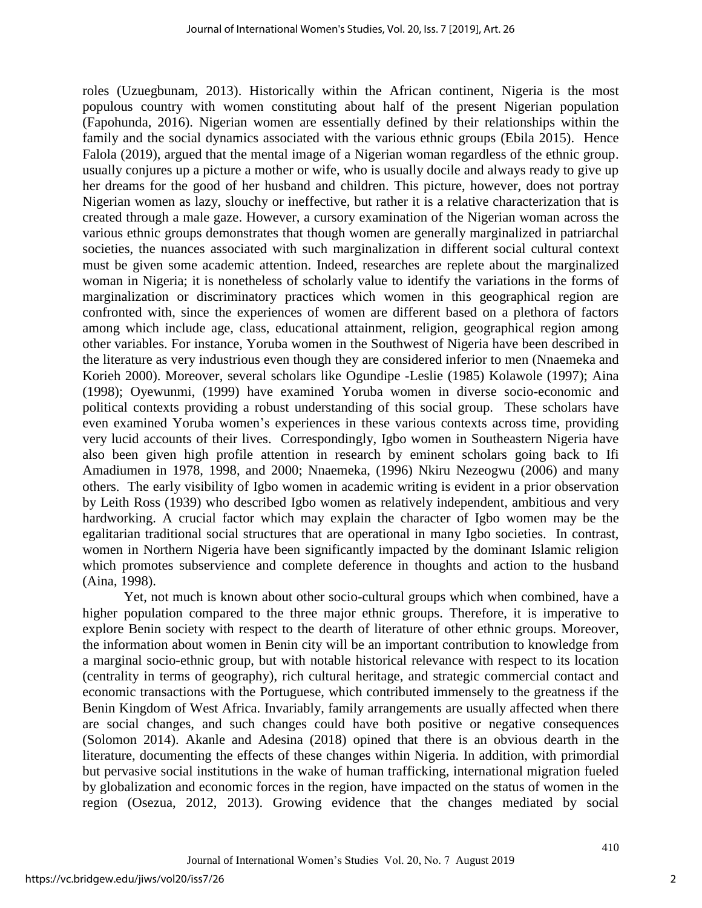roles (Uzuegbunam, 2013). Historically within the African continent, Nigeria is the most populous country with women constituting about half of the present Nigerian population (Fapohunda, 2016). Nigerian women are essentially defined by their relationships within the family and the social dynamics associated with the various ethnic groups (Ebila 2015). Hence Falola (2019), argued that the mental image of a Nigerian woman regardless of the ethnic group. usually conjures up a picture a mother or wife, who is usually docile and always ready to give up her dreams for the good of her husband and children. This picture, however, does not portray Nigerian women as lazy, slouchy or ineffective, but rather it is a relative characterization that is created through a male gaze. However, a cursory examination of the Nigerian woman across the various ethnic groups demonstrates that though women are generally marginalized in patriarchal societies, the nuances associated with such marginalization in different social cultural context must be given some academic attention. Indeed, researches are replete about the marginalized woman in Nigeria; it is nonetheless of scholarly value to identify the variations in the forms of marginalization or discriminatory practices which women in this geographical region are confronted with, since the experiences of women are different based on a plethora of factors among which include age, class, educational attainment, religion, geographical region among other variables. For instance, Yoruba women in the Southwest of Nigeria have been described in the literature as very industrious even though they are considered inferior to men (Nnaemeka and Korieh 2000). Moreover, several scholars like Ogundipe -Leslie (1985) Kolawole (1997); Aina (1998); Oyewunmi, (1999) have examined Yoruba women in diverse socio-economic and political contexts providing a robust understanding of this social group. These scholars have even examined Yoruba women's experiences in these various contexts across time, providing very lucid accounts of their lives. Correspondingly, Igbo women in Southeastern Nigeria have also been given high profile attention in research by eminent scholars going back to Ifi Amadiumen in 1978, 1998, and 2000; Nnaemeka, (1996) Nkiru Nezeogwu (2006) and many others. The early visibility of Igbo women in academic writing is evident in a prior observation by Leith Ross (1939) who described Igbo women as relatively independent, ambitious and very hardworking. A crucial factor which may explain the character of Igbo women may be the egalitarian traditional social structures that are operational in many Igbo societies. In contrast, women in Northern Nigeria have been significantly impacted by the dominant Islamic religion which promotes subservience and complete deference in thoughts and action to the husband (Aina, 1998).

Yet, not much is known about other socio-cultural groups which when combined, have a higher population compared to the three major ethnic groups. Therefore, it is imperative to explore Benin society with respect to the dearth of literature of other ethnic groups. Moreover, the information about women in Benin city will be an important contribution to knowledge from a marginal socio-ethnic group, but with notable historical relevance with respect to its location (centrality in terms of geography), rich cultural heritage, and strategic commercial contact and economic transactions with the Portuguese, which contributed immensely to the greatness if the Benin Kingdom of West Africa. Invariably, family arrangements are usually affected when there are social changes, and such changes could have both positive or negative consequences (Solomon 2014). Akanle and Adesina (2018) opined that there is an obvious dearth in the literature, documenting the effects of these changes within Nigeria. In addition, with primordial but pervasive social institutions in the wake of human trafficking, international migration fueled by globalization and economic forces in the region, have impacted on the status of women in the region (Osezua, 2012, 2013). Growing evidence that the changes mediated by social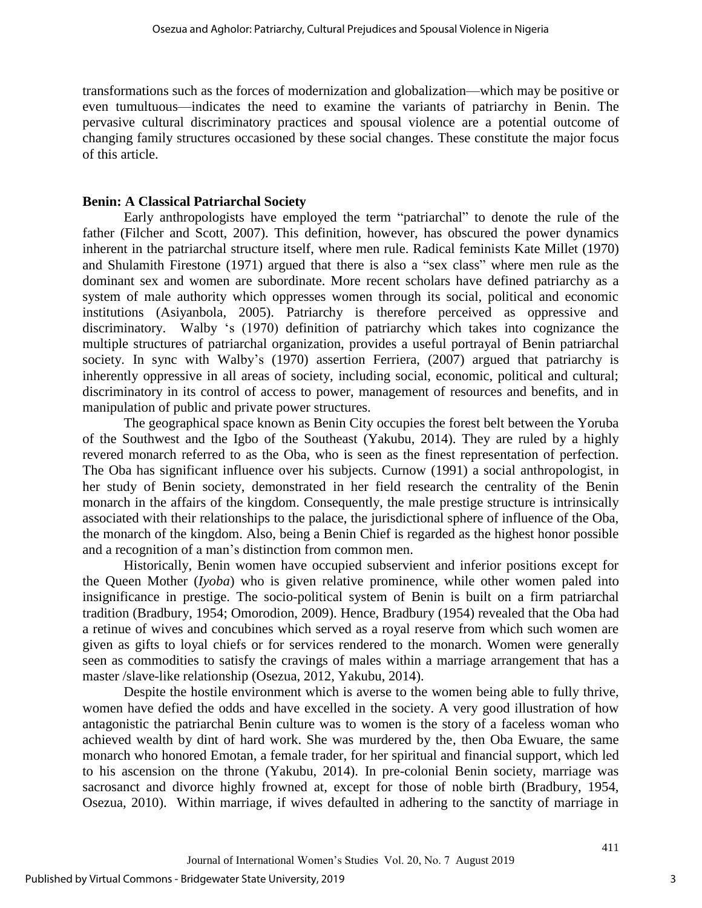transformations such as the forces of modernization and globalization—which may be positive or even tumultuous—indicates the need to examine the variants of patriarchy in Benin. The pervasive cultural discriminatory practices and spousal violence are a potential outcome of changing family structures occasioned by these social changes. These constitute the major focus of this article.

## **Benin: A Classical Patriarchal Society**

Early anthropologists have employed the term "patriarchal" to denote the rule of the father (Filcher and Scott, 2007). This definition, however, has obscured the power dynamics inherent in the patriarchal structure itself, where men rule. Radical feminists Kate Millet (1970) and Shulamith Firestone (1971) argued that there is also a "sex class" where men rule as the dominant sex and women are subordinate. More recent scholars have defined patriarchy as a system of male authority which oppresses women through its social, political and economic institutions (Asiyanbola, 2005). Patriarchy is therefore perceived as oppressive and discriminatory. Walby 's (1970) definition of patriarchy which takes into cognizance the multiple structures of patriarchal organization, provides a useful portrayal of Benin patriarchal society. In sync with Walby's (1970) assertion Ferriera, (2007) argued that patriarchy is inherently oppressive in all areas of society, including social, economic, political and cultural; discriminatory in its control of access to power, management of resources and benefits, and in manipulation of public and private power structures.

The geographical space known as Benin City occupies the forest belt between the Yoruba of the Southwest and the Igbo of the Southeast (Yakubu, 2014). They are ruled by a highly revered monarch referred to as the Oba, who is seen as the finest representation of perfection. The Oba has significant influence over his subjects. Curnow (1991) a social anthropologist, in her study of Benin society, demonstrated in her field research the centrality of the Benin monarch in the affairs of the kingdom. Consequently, the male prestige structure is intrinsically associated with their relationships to the palace, the jurisdictional sphere of influence of the Oba, the monarch of the kingdom. Also, being a Benin Chief is regarded as the highest honor possible and a recognition of a man's distinction from common men.

Historically, Benin women have occupied subservient and inferior positions except for the Queen Mother (*Iyoba*) who is given relative prominence, while other women paled into insignificance in prestige. The socio-political system of Benin is built on a firm patriarchal tradition (Bradbury, 1954; Omorodion, 2009). Hence, Bradbury (1954) revealed that the Oba had a retinue of wives and concubines which served as a royal reserve from which such women are given as gifts to loyal chiefs or for services rendered to the monarch. Women were generally seen as commodities to satisfy the cravings of males within a marriage arrangement that has a master /slave-like relationship (Osezua, 2012, Yakubu, 2014).

Despite the hostile environment which is averse to the women being able to fully thrive, women have defied the odds and have excelled in the society. A very good illustration of how antagonistic the patriarchal Benin culture was to women is the story of a faceless woman who achieved wealth by dint of hard work. She was murdered by the, then Oba Ewuare, the same monarch who honored Emotan, a female trader, for her spiritual and financial support, which led to his ascension on the throne (Yakubu, 2014). In pre-colonial Benin society, marriage was sacrosanct and divorce highly frowned at, except for those of noble birth (Bradbury, 1954, Osezua, 2010). Within marriage, if wives defaulted in adhering to the sanctity of marriage in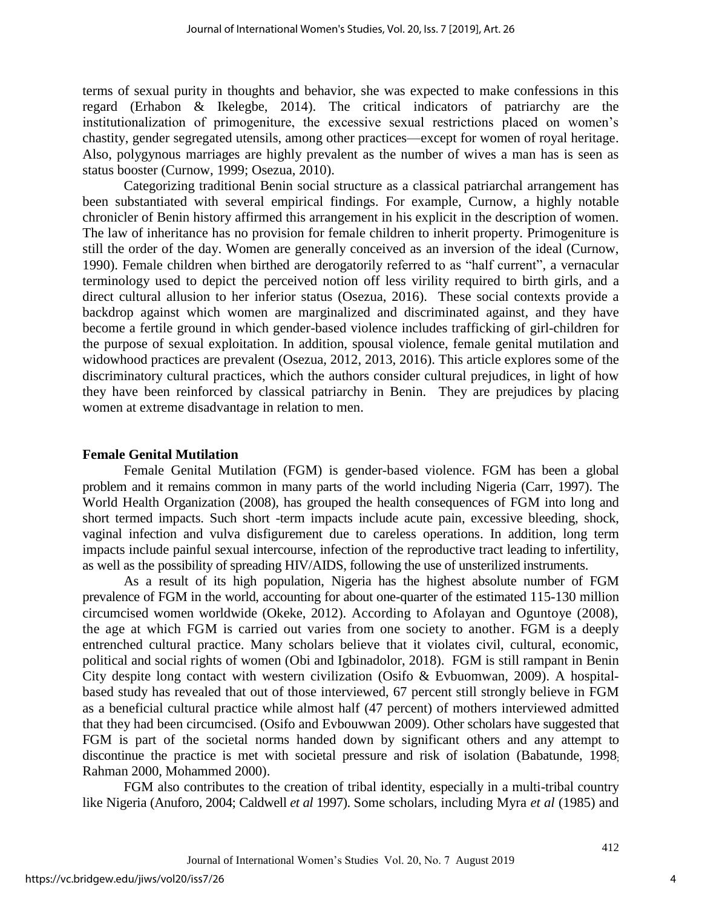terms of sexual purity in thoughts and behavior, she was expected to make confessions in this regard (Erhabon & Ikelegbe, 2014). The critical indicators of patriarchy are the institutionalization of primogeniture, the excessive sexual restrictions placed on women's chastity, gender segregated utensils, among other practices—except for women of royal heritage. Also, polygynous marriages are highly prevalent as the number of wives a man has is seen as status booster (Curnow, 1999; Osezua, 2010).

Categorizing traditional Benin social structure as a classical patriarchal arrangement has been substantiated with several empirical findings. For example, Curnow, a highly notable chronicler of Benin history affirmed this arrangement in his explicit in the description of women. The law of inheritance has no provision for female children to inherit property. Primogeniture is still the order of the day. Women are generally conceived as an inversion of the ideal (Curnow, 1990). Female children when birthed are derogatorily referred to as "half current", a vernacular terminology used to depict the perceived notion off less virility required to birth girls, and a direct cultural allusion to her inferior status (Osezua, 2016). These social contexts provide a backdrop against which women are marginalized and discriminated against, and they have become a fertile ground in which gender-based violence includes trafficking of girl-children for the purpose of sexual exploitation. In addition, spousal violence, female genital mutilation and widowhood practices are prevalent (Osezua, 2012, 2013, 2016). This article explores some of the discriminatory cultural practices, which the authors consider cultural prejudices, in light of how they have been reinforced by classical patriarchy in Benin. They are prejudices by placing women at extreme disadvantage in relation to men.

#### **Female Genital Mutilation**

Female Genital Mutilation (FGM) is gender-based violence. FGM has been a global problem and it remains common in many parts of the world including Nigeria (Carr, 1997). The World Health Organization (2008), has grouped the health consequences of FGM into long and short termed impacts. Such short -term impacts include acute pain, excessive bleeding, shock, vaginal infection and vulva disfigurement due to careless operations. In addition, long term impacts include painful sexual intercourse, infection of the reproductive tract leading to infertility, as well as the possibility of spreading HIV/AIDS, following the use of unsterilized instruments.

As a result of its high population, Nigeria has the highest absolute number of FGM prevalence of FGM in the world, accounting for about one-quarter of the estimated 115-130 million circumcised women worldwide (Okeke, 2012). According to Afolayan and Oguntoye (2008), the age at which FGM is carried out varies from one society to another. FGM is a deeply entrenched cultural practice. Many scholars believe that it violates civil, cultural, economic, political and social rights of women (Obi and Igbinadolor, 2018). FGM is still rampant in Benin City despite long contact with western civilization (Osifo & Evbuomwan, 2009). A hospitalbased study has revealed that out of those interviewed, 67 percent still strongly believe in FGM as a beneficial cultural practice while almost half (47 percent) of mothers interviewed admitted that they had been circumcised. (Osifo and Evbouwwan 2009). Other scholars have suggested that FGM is part of the societal norms handed down by significant others and any attempt to discontinue the practice is met with societal pressure and risk of isolation (Babatunde, 1998; Rahman 2000, Mohammed 2000).

FGM also contributes to the creation of tribal identity, especially in a multi-tribal country like Nigeria (Anuforo, 2004; Caldwell *et al* 1997). Some scholars, including Myra *et al* (1985) and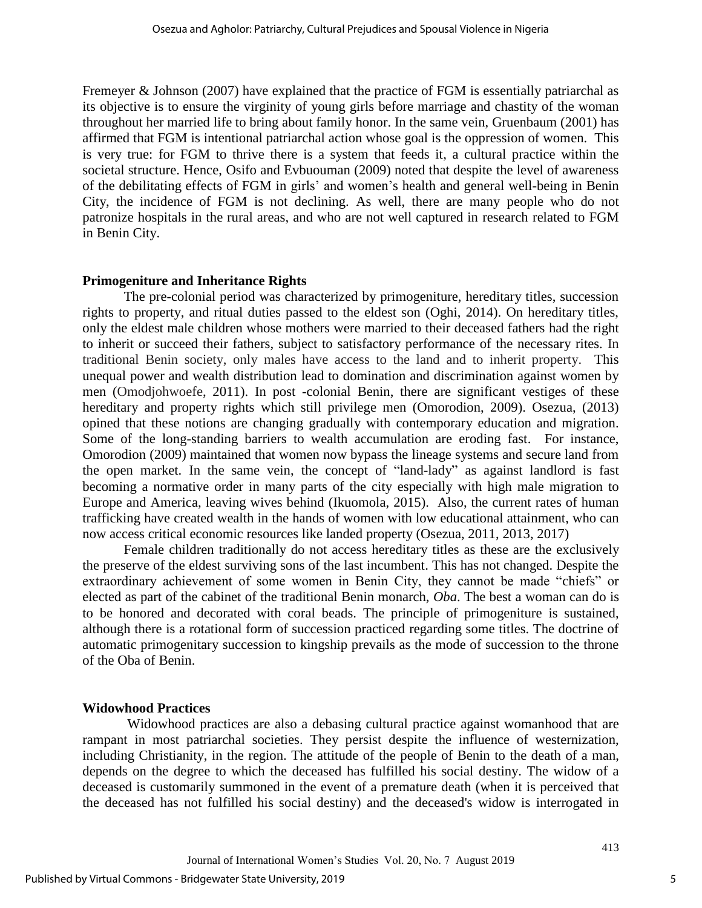Fremeyer & Johnson (2007) have explained that the practice of FGM is essentially patriarchal as its objective is to ensure the virginity of young girls before marriage and chastity of the woman throughout her married life to bring about family honor. In the same vein, Gruenbaum (2001) has affirmed that FGM is intentional patriarchal action whose goal is the oppression of women. This is very true: for FGM to thrive there is a system that feeds it, a cultural practice within the societal structure. Hence, Osifo and Evbuouman (2009) noted that despite the level of awareness of the debilitating effects of FGM in girls' and women's health and general well-being in Benin City, the incidence of FGM is not declining. As well, there are many people who do not patronize hospitals in the rural areas, and who are not well captured in research related to FGM in Benin City.

## **Primogeniture and Inheritance Rights**

The pre-colonial period was characterized by primogeniture, hereditary titles, succession rights to property, and ritual duties passed to the eldest son (Oghi, 2014). On hereditary titles, only the eldest male children whose mothers were married to their deceased fathers had the right to inherit or succeed their fathers, subject to satisfactory performance of the necessary rites. In traditional Benin society, only males have access to the land and to inherit property. This unequal power and wealth distribution lead to domination and discrimination against women by men (Omodjohwoefe, 2011). In post -colonial Benin, there are significant vestiges of these hereditary and property rights which still privilege men (Omorodion, 2009). Osezua, (2013) opined that these notions are changing gradually with contemporary education and migration. Some of the long-standing barriers to wealth accumulation are eroding fast. For instance, Omorodion (2009) maintained that women now bypass the lineage systems and secure land from the open market. In the same vein, the concept of "land-lady" as against landlord is fast becoming a normative order in many parts of the city especially with high male migration to Europe and America, leaving wives behind (Ikuomola, 2015). Also, the current rates of human trafficking have created wealth in the hands of women with low educational attainment, who can now access critical economic resources like landed property (Osezua, 2011, 2013, 2017)

Female children traditionally do not access hereditary titles as these are the exclusively the preserve of the eldest surviving sons of the last incumbent. This has not changed. Despite the extraordinary achievement of some women in Benin City, they cannot be made "chiefs" or elected as part of the cabinet of the traditional Benin monarch, *Oba*. The best a woman can do is to be honored and decorated with coral beads. The principle of primogeniture is sustained, although there is a rotational form of succession practiced regarding some titles. The doctrine of automatic primogenitary succession to kingship prevails as the mode of succession to the throne of the Oba of Benin.

## **Widowhood Practices**

Widowhood practices are also a debasing cultural practice against womanhood that are rampant in most patriarchal societies. They persist despite the influence of westernization, including Christianity, in the region. The attitude of the people of Benin to the death of a man, depends on the degree to which the deceased has fulfilled his social destiny. The widow of a deceased is customarily summoned in the event of a premature death (when it is perceived that the deceased has not fulfilled his social destiny) and the deceased's widow is interrogated in

5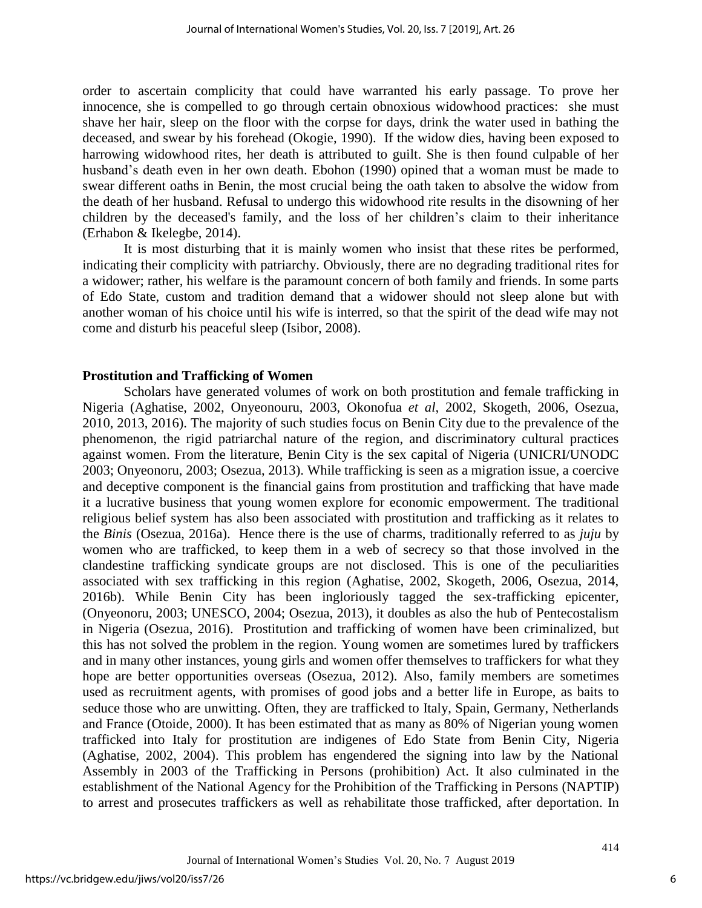order to ascertain complicity that could have warranted his early passage. To prove her innocence, she is compelled to go through certain obnoxious widowhood practices: she must shave her hair, sleep on the floor with the corpse for days, drink the water used in bathing the deceased, and swear by his forehead (Okogie, 1990). If the widow dies, having been exposed to harrowing widowhood rites, her death is attributed to guilt. She is then found culpable of her husband's death even in her own death. Ebohon (1990) opined that a woman must be made to swear different oaths in Benin, the most crucial being the oath taken to absolve the widow from the death of her husband. Refusal to undergo this widowhood rite results in the disowning of her children by the deceased's family, and the loss of her children's claim to their inheritance (Erhabon & Ikelegbe, 2014).

It is most disturbing that it is mainly women who insist that these rites be performed, indicating their complicity with patriarchy. Obviously, there are no degrading traditional rites for a widower; rather, his welfare is the paramount concern of both family and friends. In some parts of Edo State, custom and tradition demand that a widower should not sleep alone but with another woman of his choice until his wife is interred, so that the spirit of the dead wife may not come and disturb his peaceful sleep (Isibor, 2008).

#### **Prostitution and Trafficking of Women**

Scholars have generated volumes of work on both prostitution and female trafficking in Nigeria (Aghatise, 2002, Onyeonouru, 2003, Okonofua *et al*, 2002, Skogeth, 2006, Osezua, 2010, 2013, 2016). The majority of such studies focus on Benin City due to the prevalence of the phenomenon, the rigid patriarchal nature of the region, and discriminatory cultural practices against women. From the literature, Benin City is the sex capital of Nigeria (UNICRI/UNODC 2003; Onyeonoru, 2003; Osezua, 2013). While trafficking is seen as a migration issue, a coercive and deceptive component is the financial gains from prostitution and trafficking that have made it a lucrative business that young women explore for economic empowerment. The traditional religious belief system has also been associated with prostitution and trafficking as it relates to the *Binis* (Osezua, 2016a). Hence there is the use of charms, traditionally referred to as *juju* by women who are trafficked, to keep them in a web of secrecy so that those involved in the clandestine trafficking syndicate groups are not disclosed. This is one of the peculiarities associated with sex trafficking in this region (Aghatise, 2002, Skogeth, 2006, Osezua, 2014, 2016b). While Benin City has been ingloriously tagged the sex-trafficking epicenter, (Onyeonoru, 2003; UNESCO, 2004; Osezua, 2013), it doubles as also the hub of Pentecostalism in Nigeria (Osezua, 2016). Prostitution and trafficking of women have been criminalized, but this has not solved the problem in the region. Young women are sometimes lured by traffickers and in many other instances, young girls and women offer themselves to traffickers for what they hope are better opportunities overseas (Osezua, 2012). Also, family members are sometimes used as recruitment agents, with promises of good jobs and a better life in Europe, as baits to seduce those who are unwitting. Often, they are trafficked to Italy, Spain, Germany, Netherlands and France (Otoide, 2000). It has been estimated that as many as 80% of Nigerian young women trafficked into Italy for prostitution are indigenes of Edo State from Benin City, Nigeria (Aghatise, 2002, 2004). This problem has engendered the signing into law by the National Assembly in 2003 of the Trafficking in Persons (prohibition) Act. It also culminated in the establishment of the National Agency for the Prohibition of the Trafficking in Persons (NAPTIP) to arrest and prosecutes traffickers as well as rehabilitate those trafficked, after deportation. In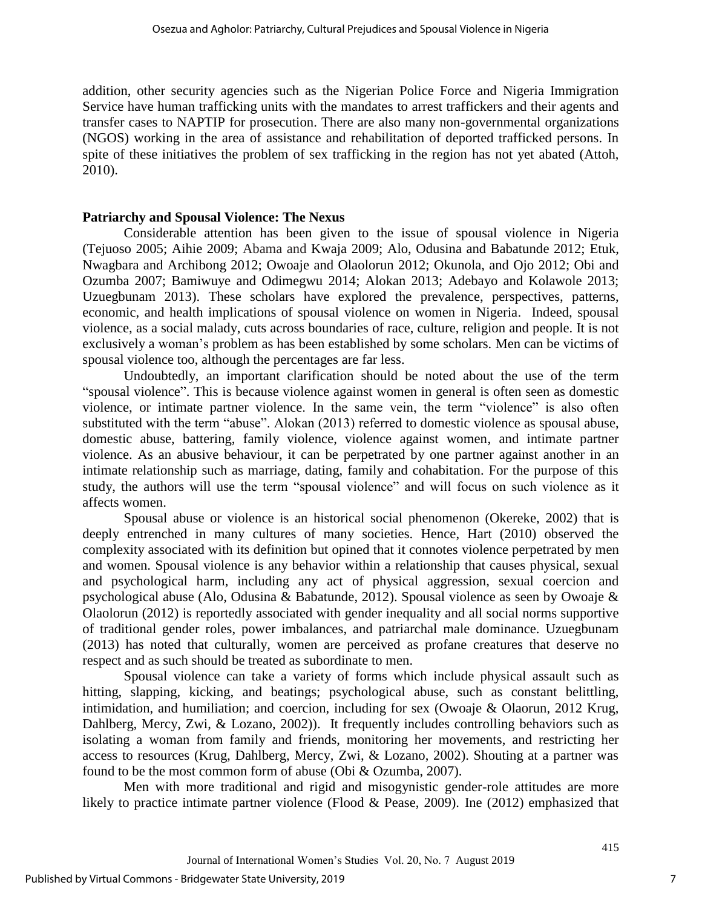addition, other security agencies such as the Nigerian Police Force and Nigeria Immigration Service have human trafficking units with the mandates to arrest traffickers and their agents and transfer cases to NAPTIP for prosecution. There are also many non-governmental organizations (NGOS) working in the area of assistance and rehabilitation of deported trafficked persons. In spite of these initiatives the problem of sex trafficking in the region has not yet abated (Attoh, 2010).

## **Patriarchy and Spousal Violence: The Nexus**

Considerable attention has been given to the issue of spousal violence in Nigeria (Tejuoso 2005; Aihie 2009; Abama and Kwaja 2009; Alo, Odusina and Babatunde 2012; Etuk, Nwagbara and Archibong 2012; Owoaje and Olaolorun 2012; Okunola, and Ojo 2012; Obi and Ozumba 2007; Bamiwuye and Odimegwu 2014; Alokan 2013; Adebayo and Kolawole 2013; Uzuegbunam 2013). These scholars have explored the prevalence, perspectives, patterns, economic, and health implications of spousal violence on women in Nigeria. Indeed, spousal violence, as a social malady, cuts across boundaries of race, culture, religion and people. It is not exclusively a woman's problem as has been established by some scholars. Men can be victims of spousal violence too, although the percentages are far less.

Undoubtedly, an important clarification should be noted about the use of the term "spousal violence". This is because violence against women in general is often seen as domestic violence, or intimate partner violence. In the same vein, the term "violence" is also often substituted with the term "abuse". Alokan (2013) referred to domestic violence as spousal abuse, domestic abuse, battering, family violence, violence against women, and intimate partner violence. As an abusive behaviour, it can be perpetrated by one partner against another in an intimate relationship such as marriage, dating, family and cohabitation. For the purpose of this study, the authors will use the term "spousal violence" and will focus on such violence as it affects women.

Spousal abuse or violence is an historical social phenomenon (Okereke, 2002) that is deeply entrenched in many cultures of many societies. Hence, Hart (2010) observed the complexity associated with its definition but opined that it connotes violence perpetrated by men and women. Spousal violence is any behavior within a relationship that causes physical, sexual and psychological harm, including any act of physical aggression, sexual coercion and psychological abuse (Alo, Odusina & Babatunde, 2012). Spousal violence as seen by Owoaje & Olaolorun (2012) is reportedly associated with gender inequality and all social norms supportive of traditional gender roles, power imbalances, and patriarchal male dominance. Uzuegbunam (2013) has noted that culturally, women are perceived as profane creatures that deserve no respect and as such should be treated as subordinate to men.

Spousal violence can take a variety of forms which include physical assault such as hitting, slapping, kicking, and beatings; psychological abuse, such as constant belittling, intimidation, and humiliation; and coercion, including for sex (Owoaje & Olaorun, 2012 Krug, Dahlberg, Mercy, Zwi, & Lozano, 2002)). It frequently includes controlling behaviors such as isolating a woman from family and friends, monitoring her movements, and restricting her access to resources (Krug, Dahlberg, Mercy, Zwi, & Lozano, 2002). Shouting at a partner was found to be the most common form of abuse (Obi & Ozumba, 2007).

Men with more traditional and rigid and misogynistic gender-role attitudes are more likely to practice intimate partner violence (Flood & Pease, 2009). Ine (2012) emphasized that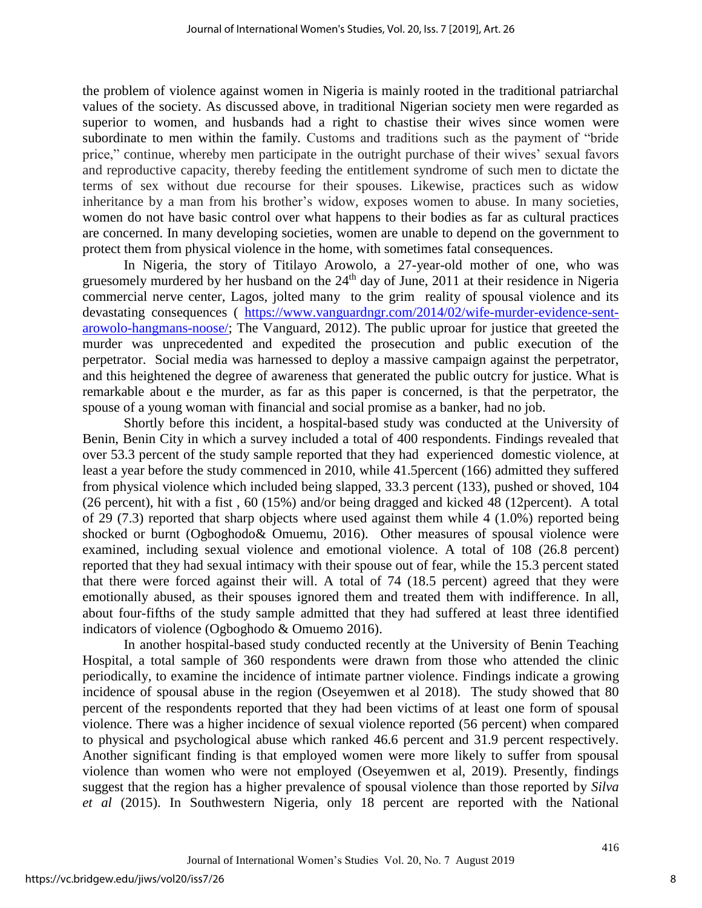the problem of violence against women in Nigeria is mainly rooted in the traditional patriarchal values of the society. As discussed above, in traditional Nigerian society men were regarded as superior to women, and husbands had a right to chastise their wives since women were subordinate to men within the family. Customs and traditions such as the payment of "bride price," continue, whereby men participate in the outright purchase of their wives' sexual favors and reproductive capacity, thereby feeding the entitlement syndrome of such men to dictate the terms of sex without due recourse for their spouses. Likewise, practices such as widow inheritance by a man from his brother's widow, exposes women to abuse. In many societies, women do not have basic control over what happens to their bodies as far as cultural practices are concerned. In many developing societies, women are unable to depend on the government to protect them from physical violence in the home, with sometimes fatal consequences.

In Nigeria, the story of Titilayo Arowolo, a 27-year-old mother of one, who was gruesomely murdered by her husband on the  $24<sup>th</sup>$  day of June, 2011 at their residence in Nigeria commercial nerve center, Lagos, jolted many to the grim reality of spousal violence and its devastating consequences ( [https://www.vanguardngr.com/2014/02/wife-murder-evidence-sent](https://www.vanguardngr.com/2014/02/wife-murder-evidence-sent-arowolo-hangmans-noose/)[arowolo-hangmans-noose/;](https://www.vanguardngr.com/2014/02/wife-murder-evidence-sent-arowolo-hangmans-noose/) The Vanguard, 2012). The public uproar for justice that greeted the murder was unprecedented and expedited the prosecution and public execution of the perpetrator. Social media was harnessed to deploy a massive campaign against the perpetrator, and this heightened the degree of awareness that generated the public outcry for justice. What is remarkable about e the murder, as far as this paper is concerned, is that the perpetrator, the spouse of a young woman with financial and social promise as a banker, had no job.

Shortly before this incident, a hospital-based study was conducted at the University of Benin, Benin City in which a survey included a total of 400 respondents. Findings revealed that over 53.3 percent of the study sample reported that they had experienced domestic violence, at least a year before the study commenced in 2010, while 41.5percent (166) admitted they suffered from physical violence which included being slapped, 33.3 percent (133), pushed or shoved, 104 (26 percent), hit with a fist , 60 (15%) and/or being dragged and kicked 48 (12percent). A total of 29 (7.3) reported that sharp objects where used against them while 4 (1.0%) reported being shocked or burnt (Ogboghodo& Omuemu, 2016). Other measures of spousal violence were examined, including sexual violence and emotional violence. A total of 108 (26.8 percent) reported that they had sexual intimacy with their spouse out of fear, while the 15.3 percent stated that there were forced against their will. A total of 74 (18.5 percent) agreed that they were emotionally abused, as their spouses ignored them and treated them with indifference. In all, about four-fifths of the study sample admitted that they had suffered at least three identified indicators of violence (Ogboghodo & Omuemo 2016).

In another hospital-based study conducted recently at the University of Benin Teaching Hospital, a total sample of 360 respondents were drawn from those who attended the clinic periodically, to examine the incidence of intimate partner violence. Findings indicate a growing incidence of spousal abuse in the region (Oseyemwen et al 2018). The study showed that 80 percent of the respondents reported that they had been victims of at least one form of spousal violence. There was a higher incidence of sexual violence reported (56 percent) when compared to physical and psychological abuse which ranked 46.6 percent and 31.9 percent respectively. Another significant finding is that employed women were more likely to suffer from spousal violence than women who were not employed (Oseyemwen et al, 2019). Presently, findings suggest that the region has a higher prevalence of spousal violence than those reported by *Silva et al* (2015). In Southwestern Nigeria, only 18 percent are reported with the National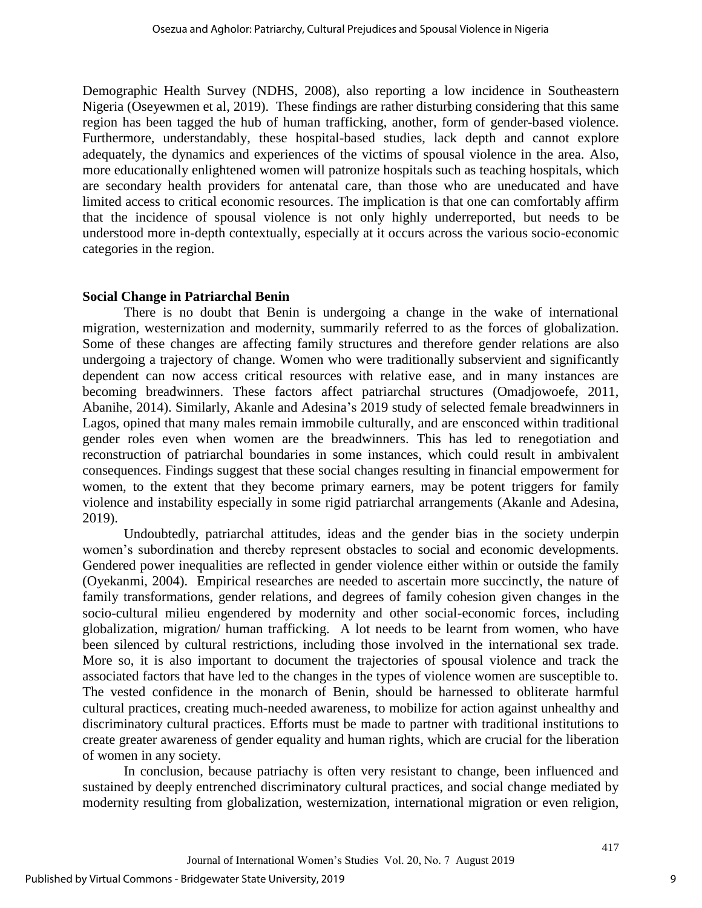Demographic Health Survey (NDHS, 2008), also reporting a low incidence in Southeastern Nigeria (Oseyewmen et al, 2019). These findings are rather disturbing considering that this same region has been tagged the hub of human trafficking, another, form of gender-based violence. Furthermore, understandably, these hospital-based studies, lack depth and cannot explore adequately, the dynamics and experiences of the victims of spousal violence in the area. Also, more educationally enlightened women will patronize hospitals such as teaching hospitals, which are secondary health providers for antenatal care, than those who are uneducated and have limited access to critical economic resources. The implication is that one can comfortably affirm that the incidence of spousal violence is not only highly underreported, but needs to be understood more in-depth contextually, especially at it occurs across the various socio-economic categories in the region.

## **Social Change in Patriarchal Benin**

There is no doubt that Benin is undergoing a change in the wake of international migration, westernization and modernity, summarily referred to as the forces of globalization. Some of these changes are affecting family structures and therefore gender relations are also undergoing a trajectory of change. Women who were traditionally subservient and significantly dependent can now access critical resources with relative ease, and in many instances are becoming breadwinners. These factors affect patriarchal structures (Omadjowoefe, 2011, Abanihe, 2014). Similarly, Akanle and Adesina's 2019 study of selected female breadwinners in Lagos, opined that many males remain immobile culturally, and are ensconced within traditional gender roles even when women are the breadwinners. This has led to renegotiation and reconstruction of patriarchal boundaries in some instances, which could result in ambivalent consequences. Findings suggest that these social changes resulting in financial empowerment for women, to the extent that they become primary earners, may be potent triggers for family violence and instability especially in some rigid patriarchal arrangements (Akanle and Adesina, 2019).

Undoubtedly, patriarchal attitudes, ideas and the gender bias in the society underpin women's subordination and thereby represent obstacles to social and economic developments. Gendered power inequalities are reflected in gender violence either within or outside the family (Oyekanmi, 2004). Empirical researches are needed to ascertain more succinctly, the nature of family transformations, gender relations, and degrees of family cohesion given changes in the socio-cultural milieu engendered by modernity and other social-economic forces, including globalization, migration/ human trafficking. A lot needs to be learnt from women, who have been silenced by cultural restrictions, including those involved in the international sex trade. More so, it is also important to document the trajectories of spousal violence and track the associated factors that have led to the changes in the types of violence women are susceptible to. The vested confidence in the monarch of Benin, should be harnessed to obliterate harmful cultural practices, creating much-needed awareness, to mobilize for action against unhealthy and discriminatory cultural practices. Efforts must be made to partner with traditional institutions to create greater awareness of gender equality and human rights, which are crucial for the liberation of women in any society.

In conclusion, because patriachy is often very resistant to change, been influenced and sustained by deeply entrenched discriminatory cultural practices, and social change mediated by modernity resulting from globalization, westernization, international migration or even religion,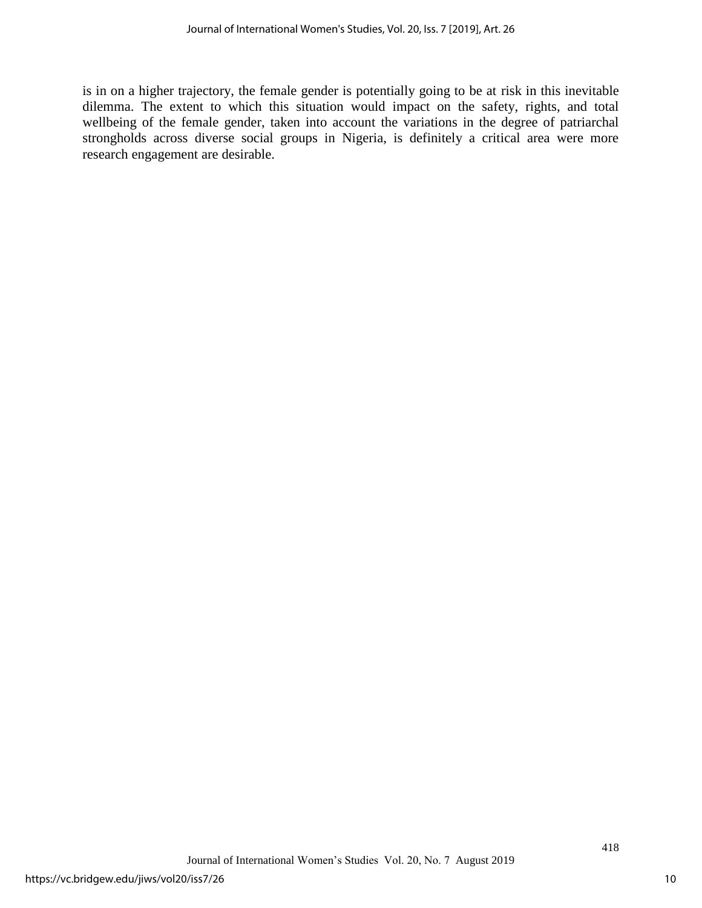is in on a higher trajectory, the female gender is potentially going to be at risk in this inevitable dilemma. The extent to which this situation would impact on the safety, rights, and total wellbeing of the female gender, taken into account the variations in the degree of patriarchal strongholds across diverse social groups in Nigeria, is definitely a critical area were more research engagement are desirable.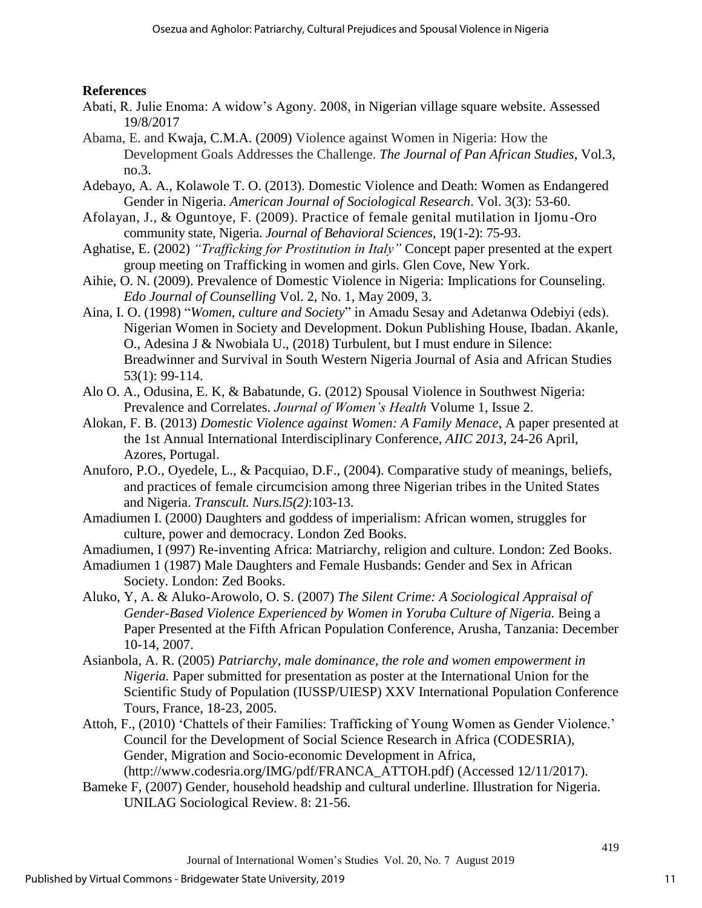## **References**

- Abati, R. Julie Enoma: A widow's Agony. 2008, in Nigerian village square website. Assessed 19/8/2017
- Abama, E. and Kwaja, C.M.A. (2009) Violence against Women in Nigeria: How the Development Goals Addresses the Challenge. *The Journal of Pan African Studies*, Vol.3, no.3.
- Adebayo, A. A., Kolawole T. O. (2013). Domestic Violence and Death: Women as Endangered Gender in Nigeria. *American Journal of Sociological Research*. Vol. 3(3): 53-60.
- Afolayan, J., & Oguntoye, F. (2009). Practice of female genital mutilation in Ijomu-Oro community state, Nigeria. *Journal of Behavioral Sciences,* 19(1-2): 75-93.
- Aghatise, E. (2002) *"Trafficking for Prostitution in Italy"* Concept paper presented at the expert group meeting on Trafficking in women and girls. Glen Cove, New York.
- Aihie, O. N. (2009). Prevalence of Domestic Violence in Nigeria: Implications for Counseling. *Edo Journal of Counselling* Vol. 2, No. 1, May 2009, 3.
- Aina, I. O. (1998) "*Women, culture and Society*" in Amadu Sesay and Adetanwa Odebiyi (eds). Nigerian Women in Society and Development. Dokun Publishing House, Ibadan. Akanle, O., Adesina J & Nwobiala U., (2018) Turbulent, but I must endure in Silence: Breadwinner and Survival in South Western Nigeria Journal of Asia and African Studies 53(1): 99-114.
- Alo O. A., Odusina, E. K, & Babatunde, G. (2012) Spousal Violence in Southwest Nigeria: Prevalence and Correlates. *Journal of Women's Health* Volume 1, Issue 2.
- Alokan, F. B. (2013) *Domestic Violence against Women: A Family Menace*, A paper presented at the 1st Annual International Interdisciplinary Conference, *AIIC 2013*, 24-26 April, Azores, Portugal.
- Anuforo, P.O., Oyedele, L., & Pacquiao, D.F., (2004). Comparative study of meanings, beliefs, and practices of female circumcision among three Nigerian tribes in the United States and Nigeria. *Transcult. Nurs.l5(2)*:103-13.
- Amadiumen I. (2000) Daughters and goddess of imperialism: African women, struggles for culture, power and democracy. London Zed Books.
- Amadiumen, I (997) Re-inventing Africa: Matriarchy, religion and culture. London: Zed Books.
- Amadiumen 1 (1987) Male Daughters and Female Husbands: Gender and Sex in African Society. London: Zed Books.
- Aluko, Y, A. & Aluko-Arowolo, O. S. (2007) *The Silent Crime: A Sociological Appraisal of Gender-Based Violence Experienced by Women in Yoruba Culture of Nigeria.* Being a Paper Presented at the Fifth African Population Conference, Arusha, Tanzania: December 10-14, 2007.
- Asianbola, A. R. (2005) *Patriarchy, male dominance, the role and women empowerment in Nigeria.* Paper submitted for presentation as poster at the International Union for the Scientific Study of Population (IUSSP/UIESP) XXV International Population Conference Tours, France, 18-23, 2005.
- Attoh, F., (2010) 'Chattels of their Families: Trafficking of Young Women as Gender Violence.' Council for the Development of Social Science Research in Africa (CODESRIA), Gender, Migration and Socio-economic Development in Africa, (http://www.codesria.org/IMG/pdf/FRANCA\_ATTOH.pdf) (Accessed 12/11/2017).
- Bameke F, (2007) Gender, household headship and cultural underline. Illustration for Nigeria.
	- UNILAG Sociological Review. 8: 21-56.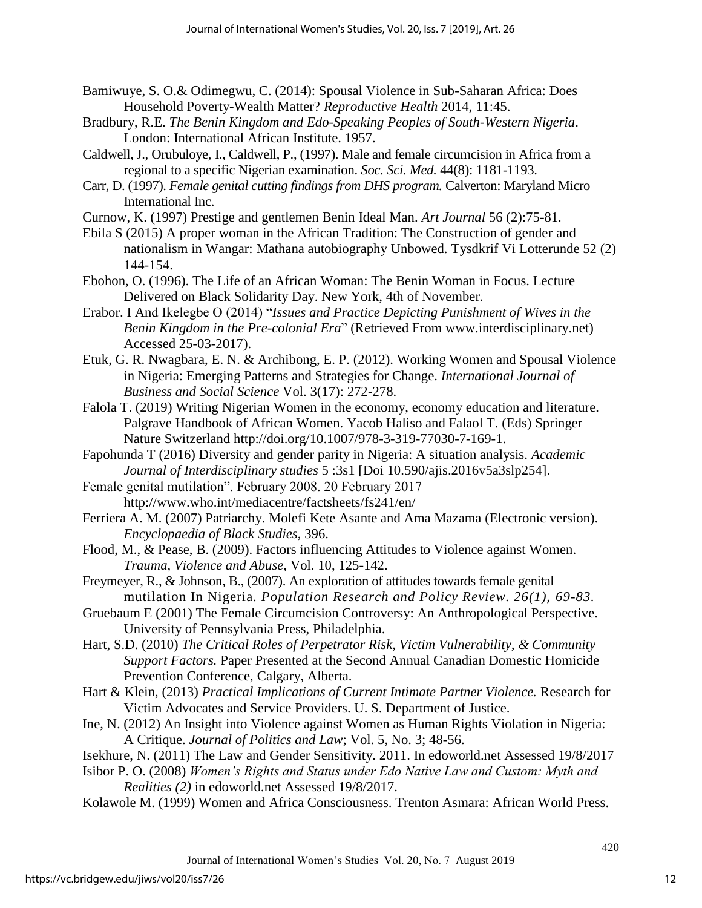- Bamiwuye, S. O.& Odimegwu, C. (2014): Spousal Violence in Sub-Saharan Africa: Does Household Poverty-Wealth Matter? *Reproductive Health* 2014, 11:45.
- Bradbury, R.E. *The Benin Kingdom and Edo-Speaking Peoples of South-Western Nigeria*. London: International African Institute. 1957.
- Caldwell, J., Orubuloye, I., Caldwell, P., (1997). Male and female circumcision in Africa from a regional to a specific Nigerian examination. *Soc. Sci. Med.* 44(8): 1181-1193.
- Carr, D. (1997). *Female genital cutting findings from DHS program.* Calverton: Maryland Micro International Inc.
- Curnow, K. (1997) Prestige and gentlemen Benin Ideal Man. *Art Journal* 56 (2):75-81.
- Ebila S (2015) A proper woman in the African Tradition: The Construction of gender and nationalism in Wangar: Mathana autobiography Unbowed. Tysdkrif Vi Lotterunde 52 (2) 144-154.
- Ebohon, O. (1996). The Life of an African Woman: The Benin Woman in Focus. Lecture Delivered on Black Solidarity Day. New York, 4th of November.
- Erabor. I And Ikelegbe O (2014) "*Issues and Practice Depicting Punishment of Wives in the Benin Kingdom in the Pre-colonial Era*" (Retrieved From www.interdisciplinary.net) Accessed 25-03-2017).
- Etuk, G. R. Nwagbara, E. N. & Archibong, E. P. (2012). Working Women and Spousal Violence in Nigeria: Emerging Patterns and Strategies for Change. *International Journal of Business and Social Science* Vol. 3(17): 272-278.
- Falola T. (2019) Writing Nigerian Women in the economy, economy education and literature. Palgrave Handbook of African Women. Yacob Haliso and Falaol T. (Eds) Springer Nature Switzerland http://doi.org/10.1007/978-3-319-77030-7-169-1.
- Fapohunda T (2016) Diversity and gender parity in Nigeria: A situation analysis. *Academic Journal of Interdisciplinary studies* 5 :3s1 [Doi 10.590/ajis.2016v5a3slp254].
- Female genital mutilation". February 2008. 20 February 2017 http://www.who.int/mediacentre/factsheets/fs241/en/
- Ferriera A. M. (2007) Patriarchy. Molefi Kete Asante and Ama Mazama (Electronic version). *Encyclopaedia of Black Studies*, 396.
- Flood, M., & Pease, B. (2009). Factors influencing Attitudes to Violence against Women. *Trauma, Violence and Abuse,* Vol. 10, 125-142.
- Freymeyer, R., & Johnson, B., (2007). An exploration of attitudes towards female genital mutilation In Nigeria. *Population Research and Policy Review. 26(1), 69-83.*
- Gruebaum E (2001) The Female Circumcision Controversy: An Anthropological Perspective. University of Pennsylvania Press, Philadelphia.
- Hart, S.D. (2010) *The Critical Roles of Perpetrator Risk, Victim Vulnerability, & Community Support Factors.* Paper Presented at the Second Annual Canadian Domestic Homicide Prevention Conference, Calgary, Alberta.
- Hart & Klein, (2013) *Practical Implications of Current Intimate Partner Violence.* Research for Victim Advocates and Service Providers. U. S. Department of Justice.
- Ine, N. (2012) An Insight into Violence against Women as Human Rights Violation in Nigeria: A Critique. *Journal of Politics and Law*; Vol. 5, No. 3; 48-56.
- Isekhure, N. (2011) The Law and Gender Sensitivity. 2011. In edoworld.net Assessed 19/8/2017
- Isibor P. O. (2008) *Women's Rights and Status under Edo Native Law and Custom: Myth and Realities (2)* in edoworld.net Assessed 19/8/2017.
- Kolawole M. (1999) Women and Africa Consciousness. Trenton Asmara: African World Press.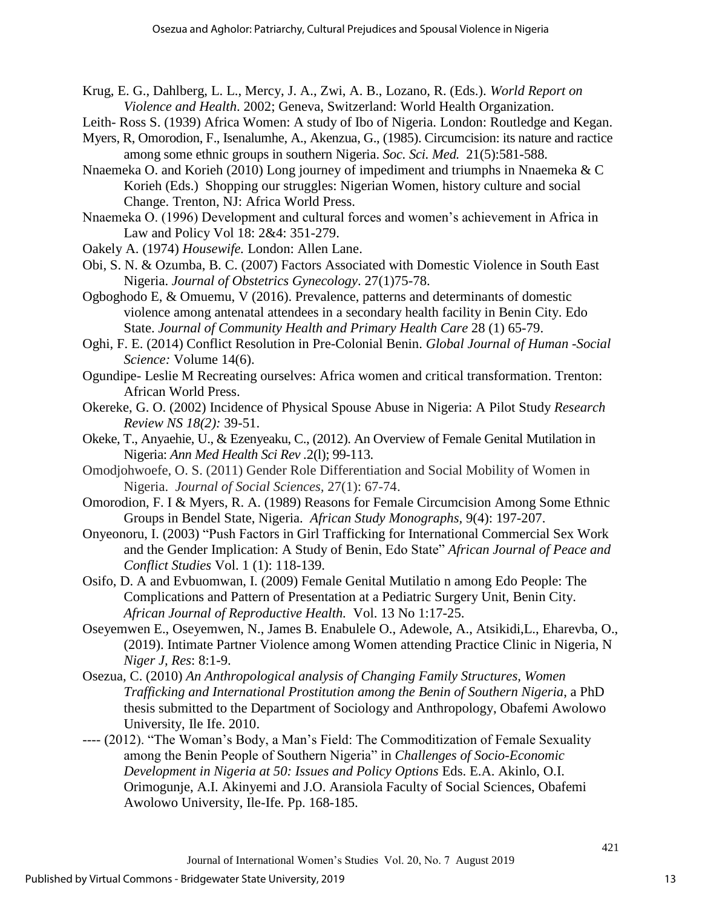- Krug, E. G., Dahlberg, L. L., Mercy, J. A., Zwi, A. B., Lozano, R. (Eds.). *World Report on Violence and Health*. 2002; Geneva, Switzerland: World Health Organization.
- Leith- Ross S. (1939) Africa Women: A study of Ibo of Nigeria. London: Routledge and Kegan.
- Myers, R, Omorodion, F., Isenalumhe, A., Akenzua, G., (1985). Circumcision: its nature and ractice among some ethnic groups in southern Nigeria. *Soc. Sci. Med.* 21(5):581-588.
- Nnaemeka O. and Korieh (2010) Long journey of impediment and triumphs in Nnaemeka & C Korieh (Eds.) Shopping our struggles: Nigerian Women, history culture and social Change. Trenton, NJ: Africa World Press.
- Nnaemeka O. (1996) Development and cultural forces and women's achievement in Africa in Law and Policy Vol 18: 2&4: 351-279.
- Oakely A. (1974) *Housewife.* London: Allen Lane.
- Obi, S. N. & Ozumba, B. C. (2007) Factors Associated with Domestic Violence in South East Nigeria. *Journal of Obstetrics Gynecology*. 27(1)75-78.
- Ogboghodo E, & Omuemu, V (2016). Prevalence, patterns and determinants of domestic violence among antenatal attendees in a secondary health facility in Benin City. Edo State. *Journal of Community Health and Primary Health Care* 28 (1) 65-79.
- Oghi, F. E. (2014) Conflict Resolution in Pre-Colonial Benin. *Global Journal of Human -Social Science:* Volume 14(6).
- Ogundipe- Leslie M Recreating ourselves: Africa women and critical transformation. Trenton: African World Press.
- Okereke, G. O. (2002) Incidence of Physical Spouse Abuse in Nigeria: A Pilot Study *Research Review NS 18(2):* 39-51.
- Okeke, T., Anyaehie, U., & Ezenyeaku, C., (2012). An Overview of Female Genital Mutilation in Nigeria: *Ann Med Health Sci Rev .*2(l); 99-113.
- Omodjohwoefe, O. S. (2011) Gender Role Differentiation and Social Mobility of Women in Nigeria. *Journal of Social Sciences,* 27(1): 67-74.
- Omorodion, F. I & Myers, R. A. (1989) Reasons for Female Circumcision Among Some Ethnic Groups in Bendel State, Nigeria. *African Study Monographs,* 9(4): 197-207.
- Onyeonoru, I. (2003) "Push Factors in Girl Trafficking for International Commercial Sex Work and the Gender Implication: A Study of Benin, Edo State" *African Journal of Peace and Conflict Studies* Vol. 1 (1): 118-139.
- Osifo, D. A and Evbuomwan, I. (2009) Female Genital Mutilatio n among Edo People: The Complications and Pattern of Presentation at a Pediatric Surgery Unit, Benin City. *African Journal of Reproductive Health.* Vol. 13 No 1:17-25.
- Oseyemwen E., Oseyemwen, N., James B. Enabulele O., Adewole, A., Atsikidi,L., Eharevba, O., (2019). Intimate Partner Violence among Women attending Practice Clinic in Nigeria, N *Niger J, Res*: 8:1-9.
- Osezua, C. (2010) *An Anthropological analysis of Changing Family Structures, Women Trafficking and International Prostitution among the Benin of Southern Nigeria*, a PhD thesis submitted to the Department of Sociology and Anthropology, Obafemi Awolowo University, Ile Ife. 2010.
- ---- (2012). "The Woman's Body, a Man's Field: The Commoditization of Female Sexuality among the Benin People of Southern Nigeria" in *Challenges of Socio-Economic Development in Nigeria at 50: Issues and Policy Options* Eds. E.A. Akinlo, O.I. Orimogunje, A.I. Akinyemi and J.O. Aransiola Faculty of Social Sciences, Obafemi Awolowo University, Ile-Ife. Pp. 168-185.